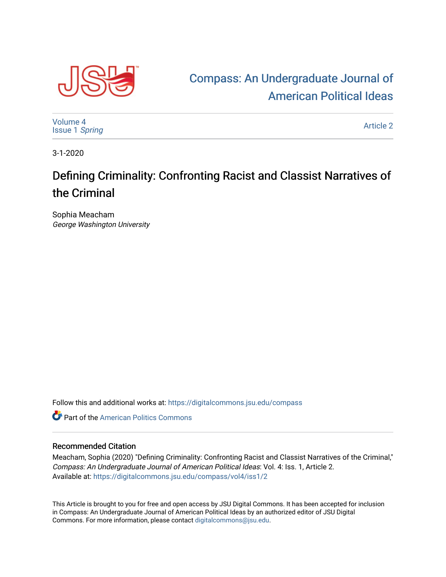

## [Compass: An Undergraduate Journal of](https://digitalcommons.jsu.edu/compass)  [American Political Ideas](https://digitalcommons.jsu.edu/compass)

[Volume 4](https://digitalcommons.jsu.edu/compass/vol4) [Issue 1](https://digitalcommons.jsu.edu/compass/vol4/iss1) Spring

[Article 2](https://digitalcommons.jsu.edu/compass/vol4/iss1/2) 

3-1-2020

## Defining Criminality: Confronting Racist and Classist Narratives of the Criminal

Sophia Meacham George Washington University

Follow this and additional works at: [https://digitalcommons.jsu.edu/compass](https://digitalcommons.jsu.edu/compass?utm_source=digitalcommons.jsu.edu%2Fcompass%2Fvol4%2Fiss1%2F2&utm_medium=PDF&utm_campaign=PDFCoverPages)

**C** Part of the American Politics Commons

## Recommended Citation

Meacham, Sophia (2020) "Defining Criminality: Confronting Racist and Classist Narratives of the Criminal," Compass: An Undergraduate Journal of American Political Ideas: Vol. 4: Iss. 1, Article 2. Available at: [https://digitalcommons.jsu.edu/compass/vol4/iss1/2](https://digitalcommons.jsu.edu/compass/vol4/iss1/2?utm_source=digitalcommons.jsu.edu%2Fcompass%2Fvol4%2Fiss1%2F2&utm_medium=PDF&utm_campaign=PDFCoverPages)

This Article is brought to you for free and open access by JSU Digital Commons. It has been accepted for inclusion in Compass: An Undergraduate Journal of American Political Ideas by an authorized editor of JSU Digital Commons. For more information, please contact [digitalcommons@jsu.edu.](mailto:digitalcommons@jsu.edu)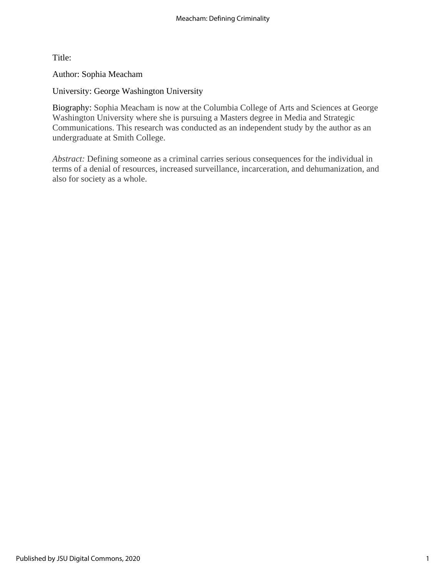Title:

Author: Sophia Meacham

University: George Washington University

Biography: Sophia Meacham is now at the Columbia College of Arts and Sciences at George Washington University where she is pursuing a Masters degree in Media and Strategic Communications. This research was conducted as an independent study by the author as an undergraduate at Smith College.

*Abstract:* Defining someone as a criminal carries serious consequences for the individual in terms of a denial of resources, increased surveillance, incarceration, and dehumanization, and also for society as a whole.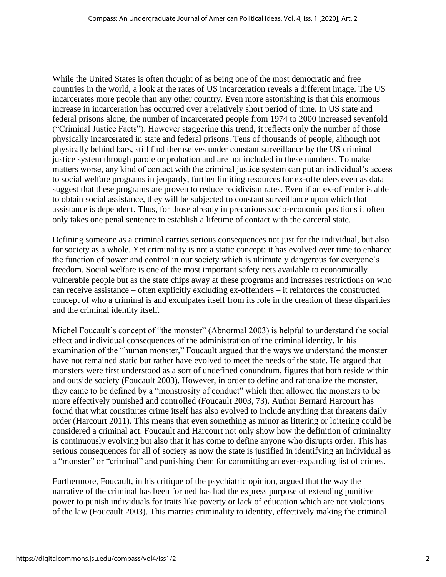While the United States is often thought of as being one of the most democratic and free countries in the world, a look at the rates of US incarceration reveals a different image. The US incarcerates more people than any other country. Even more astonishing is that this enormous increase in incarceration has occurred over a relatively short period of time. In US state and federal prisons alone, the number of incarcerated people from 1974 to 2000 increased sevenfold ("Criminal Justice Facts"). However staggering this trend, it reflects only the number of those physically incarcerated in state and federal prisons. Tens of thousands of people, although not physically behind bars, still find themselves under constant surveillance by the US criminal justice system through parole or probation and are not included in these numbers. To make matters worse, any kind of contact with the criminal justice system can put an individual's access to social welfare programs in jeopardy, further limiting resources for ex-offenders even as data suggest that these programs are proven to reduce recidivism rates. Even if an ex-offender is able to obtain social assistance, they will be subjected to constant surveillance upon which that assistance is dependent. Thus, for those already in precarious socio-economic positions it often only takes one penal sentence to establish a lifetime of contact with the carceral state.

Defining someone as a criminal carries serious consequences not just for the individual, but also for society as a whole. Yet criminality is not a static concept: it has evolved over time to enhance the function of power and control in our society which is ultimately dangerous for everyone's freedom. Social welfare is one of the most important safety nets available to economically vulnerable people but as the state chips away at these programs and increases restrictions on who can receive assistance – often explicitly excluding ex-offenders – it reinforces the constructed concept of who a criminal is and exculpates itself from its role in the creation of these disparities and the criminal identity itself.

Michel Foucault's concept of "the monster" (Abnormal 2003) is helpful to understand the social effect and individual consequences of the administration of the criminal identity. In his examination of the "human monster," Foucault argued that the ways we understand the monster have not remained static but rather have evolved to meet the needs of the state. He argued that monsters were first understood as a sort of undefined conundrum, figures that both reside within and outside society (Foucault 2003). However, in order to define and rationalize the monster, they came to be defined by a "monstrosity of conduct" which then allowed the monsters to be more effectively punished and controlled (Foucault 2003, 73). Author Bernard Harcourt has found that what constitutes crime itself has also evolved to include anything that threatens daily order (Harcourt 2011). This means that even something as minor as littering or loitering could be considered a criminal act. Foucault and Harcourt not only show how the definition of criminality is continuously evolving but also that it has come to define anyone who disrupts order. This has serious consequences for all of society as now the state is justified in identifying an individual as a "monster" or "criminal" and punishing them for committing an ever-expanding list of crimes.

Furthermore, Foucault, in his critique of the psychiatric opinion, argued that the way the narrative of the criminal has been formed has had the express purpose of extending punitive power to punish individuals for traits like poverty or lack of education which are not violations of the law (Foucault 2003). This marries criminality to identity, effectively making the criminal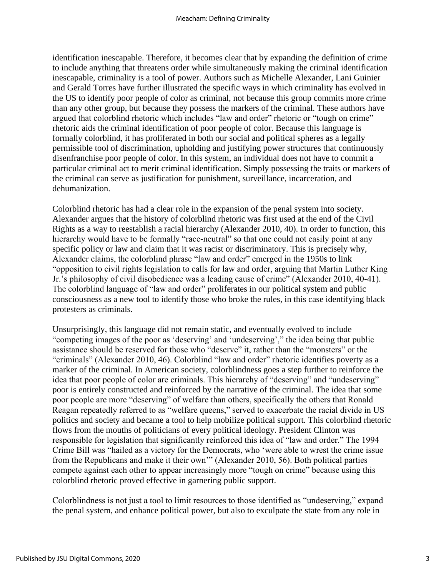identification inescapable. Therefore, it becomes clear that by expanding the definition of crime to include anything that threatens order while simultaneously making the criminal identification inescapable, criminality is a tool of power. Authors such as Michelle Alexander, Lani Guinier and Gerald Torres have further illustrated the specific ways in which criminality has evolved in the US to identify poor people of color as criminal, not because this group commits more crime than any other group, but because they possess the markers of the criminal. These authors have argued that colorblind rhetoric which includes "law and order" rhetoric or "tough on crime" rhetoric aids the criminal identification of poor people of color. Because this language is formally colorblind, it has proliferated in both our social and political spheres as a legally permissible tool of discrimination, upholding and justifying power structures that continuously disenfranchise poor people of color. In this system, an individual does not have to commit a particular criminal act to merit criminal identification. Simply possessing the traits or markers of the criminal can serve as justification for punishment, surveillance, incarceration, and dehumanization.

Colorblind rhetoric has had a clear role in the expansion of the penal system into society. Alexander argues that the history of colorblind rhetoric was first used at the end of the Civil Rights as a way to reestablish a racial hierarchy (Alexander 2010, 40). In order to function, this hierarchy would have to be formally "race-neutral" so that one could not easily point at any specific policy or law and claim that it was racist or discriminatory. This is precisely why, Alexander claims, the colorblind phrase "law and order" emerged in the 1950s to link "opposition to civil rights legislation to calls for law and order, arguing that Martin Luther King Jr.'s philosophy of civil disobedience was a leading cause of crime" (Alexander 2010, 40-41). The colorblind language of "law and order" proliferates in our political system and public consciousness as a new tool to identify those who broke the rules, in this case identifying black protesters as criminals.

Unsurprisingly, this language did not remain static, and eventually evolved to include "competing images of the poor as 'deserving' and 'undeserving'," the idea being that public assistance should be reserved for those who "deserve" it, rather than the "monsters" or the "criminals" (Alexander 2010, 46). Colorblind "law and order" rhetoric identifies poverty as a marker of the criminal. In American society, colorblindness goes a step further to reinforce the idea that poor people of color are criminals. This hierarchy of "deserving" and "undeserving" poor is entirely constructed and reinforced by the narrative of the criminal. The idea that some poor people are more "deserving" of welfare than others, specifically the others that Ronald Reagan repeatedly referred to as "welfare queens," served to exacerbate the racial divide in US politics and society and became a tool to help mobilize political support. This colorblind rhetoric flows from the mouths of politicians of every political ideology. President Clinton was responsible for legislation that significantly reinforced this idea of "law and order." The 1994 Crime Bill was "hailed as a victory for the Democrats, who 'were able to wrest the crime issue from the Republicans and make it their own'" (Alexander 2010, 56). Both political parties compete against each other to appear increasingly more "tough on crime" because using this colorblind rhetoric proved effective in garnering public support.

Colorblindness is not just a tool to limit resources to those identified as "undeserving," expand the penal system, and enhance political power, but also to exculpate the state from any role in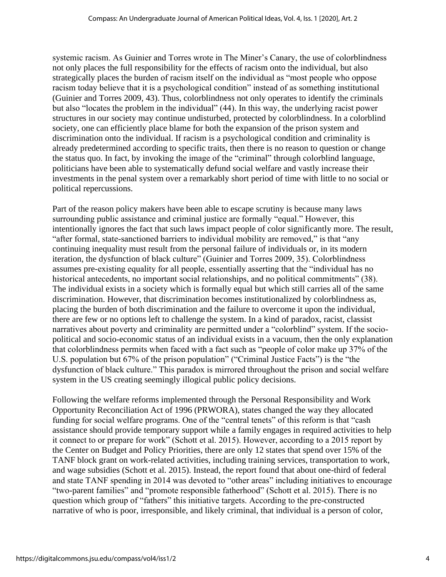systemic racism. As Guinier and Torres wrote in The Miner's Canary, the use of colorblindness not only places the full responsibility for the effects of racism onto the individual, but also strategically places the burden of racism itself on the individual as "most people who oppose racism today believe that it is a psychological condition" instead of as something institutional (Guinier and Torres 2009, 43). Thus, colorblindness not only operates to identify the criminals but also "locates the problem in the individual" (44). In this way, the underlying racist power structures in our society may continue undisturbed, protected by colorblindness. In a colorblind society, one can efficiently place blame for both the expansion of the prison system and discrimination onto the individual. If racism is a psychological condition and criminality is already predetermined according to specific traits, then there is no reason to question or change the status quo. In fact, by invoking the image of the "criminal" through colorblind language, politicians have been able to systematically defund social welfare and vastly increase their investments in the penal system over a remarkably short period of time with little to no social or political repercussions.

Part of the reason policy makers have been able to escape scrutiny is because many laws surrounding public assistance and criminal justice are formally "equal." However, this intentionally ignores the fact that such laws impact people of color significantly more. The result, "after formal, state-sanctioned barriers to individual mobility are removed," is that "any continuing inequality must result from the personal failure of individuals or, in its modern iteration, the dysfunction of black culture" (Guinier and Torres 2009, 35). Colorblindness assumes pre-existing equality for all people, essentially asserting that the "individual has no historical antecedents, no important social relationships, and no political commitments" (38). The individual exists in a society which is formally equal but which still carries all of the same discrimination. However, that discrimination becomes institutionalized by colorblindness as, placing the burden of both discrimination and the failure to overcome it upon the individual, there are few or no options left to challenge the system. In a kind of paradox, racist, classist narratives about poverty and criminality are permitted under a "colorblind" system. If the sociopolitical and socio-economic status of an individual exists in a vacuum, then the only explanation that colorblindness permits when faced with a fact such as "people of color make up 37% of the U.S. population but 67% of the prison population" ("Criminal Justice Facts") is the "the dysfunction of black culture." This paradox is mirrored throughout the prison and social welfare system in the US creating seemingly illogical public policy decisions.

Following the welfare reforms implemented through the Personal Responsibility and Work Opportunity Reconciliation Act of 1996 (PRWORA), states changed the way they allocated funding for social welfare programs. One of the "central tenets" of this reform is that "cash assistance should provide temporary support while a family engages in required activities to help it connect to or prepare for work" (Schott et al. 2015). However, according to a 2015 report by the Center on Budget and Policy Priorities, there are only 12 states that spend over 15% of the TANF block grant on work-related activities, including training services, transportation to work, and wage subsidies (Schott et al. 2015). Instead, the report found that about one-third of federal and state TANF spending in 2014 was devoted to "other areas" including initiatives to encourage "two-parent families" and "promote responsible fatherhood" (Schott et al. 2015). There is no question which group of "fathers" this initiative targets. According to the pre-constructed narrative of who is poor, irresponsible, and likely criminal, that individual is a person of color,